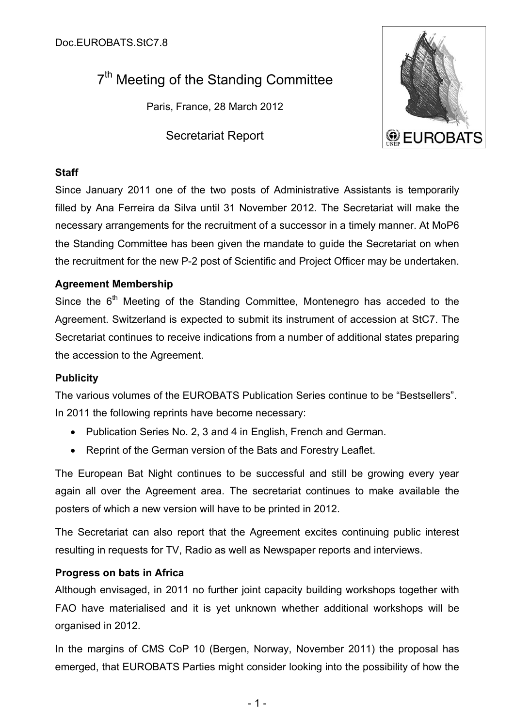# 7<sup>th</sup> Meeting of the Standing Committee

Paris, France, 28 March 2012

Secretariat Report



# **Staff**

Since January 2011 one of the two posts of Administrative Assistants is temporarily filled by Ana Ferreira da Silva until 31 November 2012. The Secretariat will make the necessary arrangements for the recruitment of a successor in a timely manner. At MoP6 the Standing Committee has been given the mandate to guide the Secretariat on when the recruitment for the new P-2 post of Scientific and Project Officer may be undertaken.

# **Agreement Membership**

Since the 6<sup>th</sup> Meeting of the Standing Committee, Montenegro has acceded to the Agreement. Switzerland is expected to submit its instrument of accession at StC7. The Secretariat continues to receive indications from a number of additional states preparing the accession to the Agreement.

# **Publicity**

The various volumes of the EUROBATS Publication Series continue to be "Bestsellers". In 2011 the following reprints have become necessary:

- Publication Series No. 2, 3 and 4 in English, French and German.
- Reprint of the German version of the Bats and Forestry Leaflet.

The European Bat Night continues to be successful and still be growing every year again all over the Agreement area. The secretariat continues to make available the posters of which a new version will have to be printed in 2012.

The Secretariat can also report that the Agreement excites continuing public interest resulting in requests for TV, Radio as well as Newspaper reports and interviews.

# **Progress on bats in Africa**

Although envisaged, in 2011 no further joint capacity building workshops together with FAO have materialised and it is yet unknown whether additional workshops will be organised in 2012.

In the margins of CMS CoP 10 (Bergen, Norway, November 2011) the proposal has emerged, that EUROBATS Parties might consider looking into the possibility of how the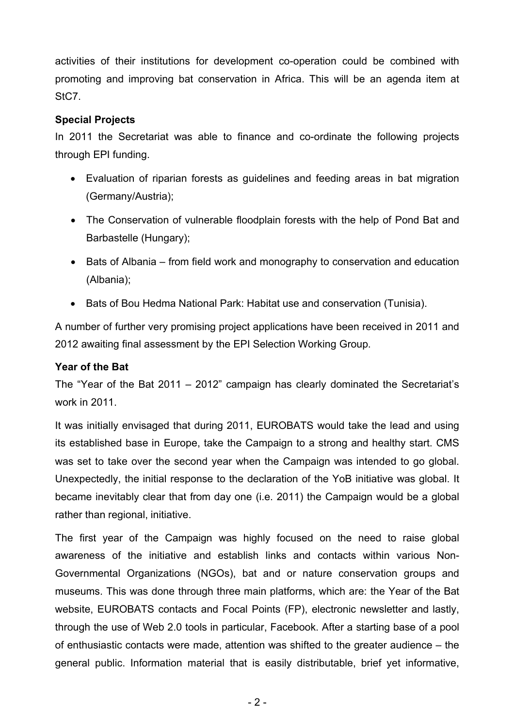activities of their institutions for development co-operation could be combined with promoting and improving bat conservation in Africa. This will be an agenda item at StC7.

# **Special Projects**

In 2011 the Secretariat was able to finance and co-ordinate the following projects through EPI funding.

- Evaluation of riparian forests as guidelines and feeding areas in bat migration (Germany/Austria);
- The Conservation of vulnerable floodplain forests with the help of Pond Bat and Barbastelle (Hungary);
- Bats of Albania from field work and monography to conservation and education (Albania);
- Bats of Bou Hedma National Park: Habitat use and conservation (Tunisia).

A number of further very promising project applications have been received in 2011 and 2012 awaiting final assessment by the EPI Selection Working Group.

# **Year of the Bat**

The "Year of the Bat 2011 – 2012" campaign has clearly dominated the Secretariat's work in 2011.

It was initially envisaged that during 2011, EUROBATS would take the lead and using its established base in Europe, take the Campaign to a strong and healthy start. CMS was set to take over the second year when the Campaign was intended to go global. Unexpectedly, the initial response to the declaration of the YoB initiative was global. It became inevitably clear that from day one (i.e. 2011) the Campaign would be a global rather than regional, initiative.

The first year of the Campaign was highly focused on the need to raise global awareness of the initiative and establish links and contacts within various Non-Governmental Organizations (NGOs), bat and or nature conservation groups and museums. This was done through three main platforms, which are: the Year of the Bat website, EUROBATS contacts and Focal Points (FP), electronic newsletter and lastly, through the use of Web 2.0 tools in particular, Facebook. After a starting base of a pool of enthusiastic contacts were made, attention was shifted to the greater audience – the general public. Information material that is easily distributable, brief yet informative,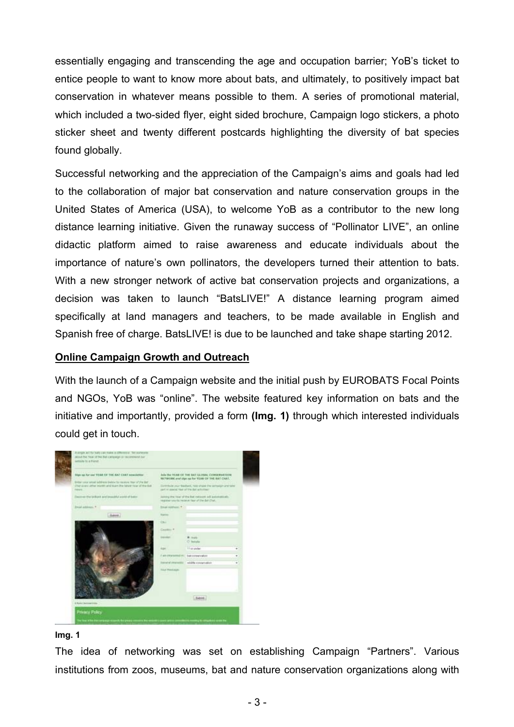essentially engaging and transcending the age and occupation barrier; YoB's ticket to entice people to want to know more about bats, and ultimately, to positively impact bat conservation in whatever means possible to them. A series of promotional material, which included a two-sided flyer, eight sided brochure, Campaign logo stickers, a photo sticker sheet and twenty different postcards highlighting the diversity of bat species found globally.

Successful networking and the appreciation of the Campaign's aims and goals had led to the collaboration of major bat conservation and nature conservation groups in the United States of America (USA), to welcome YoB as a contributor to the new long distance learning initiative. Given the runaway success of "Pollinator LIVE", an online didactic platform aimed to raise awareness and educate individuals about the importance of nature's own pollinators, the developers turned their attention to bats. With a new stronger network of active bat conservation projects and organizations, a decision was taken to launch "BatsLIVE!" A distance learning program aimed specifically at land managers and teachers, to be made available in English and Spanish free of charge. BatsLIVE! is due to be launched and take shape starting 2012.

#### **Online Campaign Growth and Outreach**

With the launch of a Campaign website and the initial push by EUROBATS Focal Points and NGOs, YoB was "online". The website featured key information on bats and the initiative and importantly, provided a form **(Img. 1)** through which interested individuals could get in touch.



#### **Img. 1**

The idea of networking was set on establishing Campaign "Partners". Various institutions from zoos, museums, bat and nature conservation organizations along with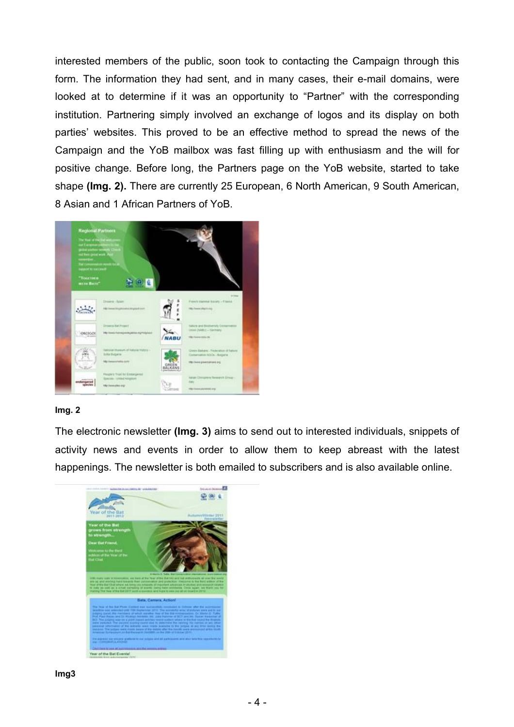interested members of the public, soon took to contacting the Campaign through this form. The information they had sent, and in many cases, their e-mail domains, were looked at to determine if it was an opportunity to "Partner" with the corresponding institution. Partnering simply involved an exchange of logos and its display on both parties' websites. This proved to be an effective method to spread the news of the Campaign and the YoB mailbox was fast filling up with enthusiasm and the will for positive change. Before long, the Partners page on the YoB website, started to take shape **(Img. 2).** There are currently 25 European, 6 North American, 9 South American, 8 Asian and 1 African Partners of YoB.



#### **Img. 2**

The electronic newsletter **(Img. 3)** aims to send out to interested individuals, snippets of activity news and events in order to allow them to keep abreast with the latest happenings. The newsletter is both emailed to subscribers and is also available online.

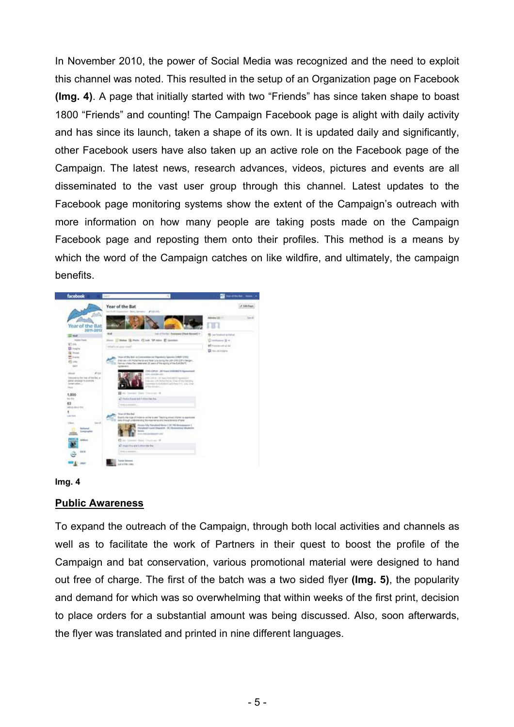In November 2010, the power of Social Media was recognized and the need to exploit this channel was noted. This resulted in the setup of an Organization page on Facebook **(Img. 4)**. A page that initially started with two "Friends" has since taken shape to boast 1800 "Friends" and counting! The Campaign Facebook page is alight with daily activity and has since its launch, taken a shape of its own. It is updated daily and significantly, other Facebook users have also taken up an active role on the Facebook page of the Campaign. The latest news, research advances, videos, pictures and events are all disseminated to the vast user group through this channel. Latest updates to the Facebook page monitoring systems show the extent of the Campaign's outreach with more information on how many people are taking posts made on the Campaign Facebook page and reposting them onto their profiles. This method is a means by which the word of the Campaign catches on like wildfire, and ultimately, the campaign benefits.





#### **Public Awareness**

To expand the outreach of the Campaign, through both local activities and channels as well as to facilitate the work of Partners in their quest to boost the profile of the Campaign and bat conservation, various promotional material were designed to hand out free of charge. The first of the batch was a two sided flyer **(Img. 5)**, the popularity and demand for which was so overwhelming that within weeks of the first print, decision to place orders for a substantial amount was being discussed. Also, soon afterwards, the flyer was translated and printed in nine different languages.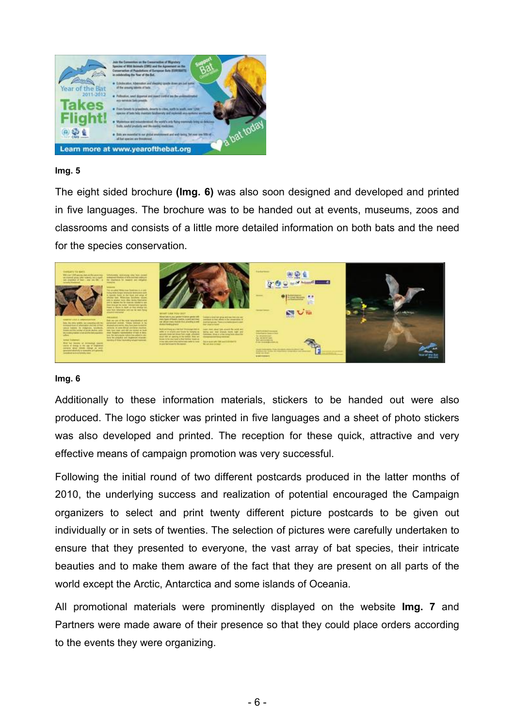

#### **Img. 5**

The eight sided brochure **(Img. 6)** was also soon designed and developed and printed in five languages. The brochure was to be handed out at events, museums, zoos and classrooms and consists of a little more detailed information on both bats and the need for the species conservation.



#### **Img. 6**

Additionally to these information materials, stickers to be handed out were also produced. The logo sticker was printed in five languages and a sheet of photo stickers was also developed and printed. The reception for these quick, attractive and very effective means of campaign promotion was very successful.

Following the initial round of two different postcards produced in the latter months of 2010, the underlying success and realization of potential encouraged the Campaign organizers to select and print twenty different picture postcards to be given out individually or in sets of twenties. The selection of pictures were carefully undertaken to ensure that they presented to everyone, the vast array of bat species, their intricate beauties and to make them aware of the fact that they are present on all parts of the world except the Arctic, Antarctica and some islands of Oceania.

All promotional materials were prominently displayed on the website **Img. 7** and Partners were made aware of their presence so that they could place orders according to the events they were organizing.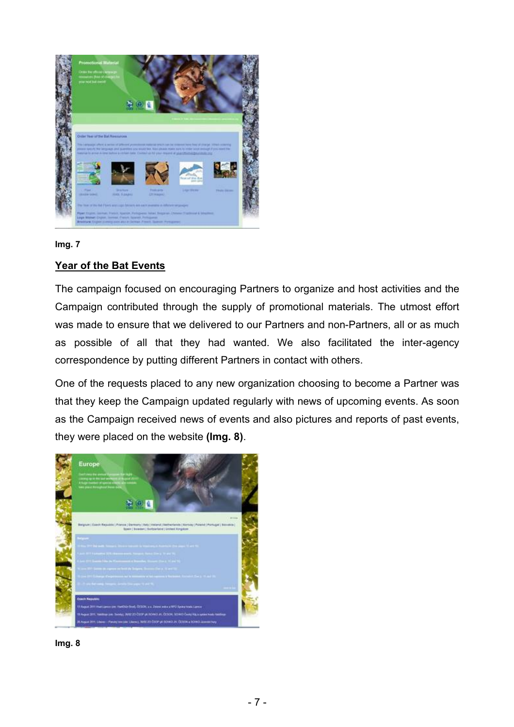

**Img. 7**

## **Year of the Bat Events**

The campaign focused on encouraging Partners to organize and host activities and the Campaign contributed through the supply of promotional materials. The utmost effort was made to ensure that we delivered to our Partners and non-Partners, all or as much as possible of all that they had wanted. We also facilitated the inter-agency correspondence by putting different Partners in contact with others.

One of the requests placed to any new organization choosing to become a Partner was that they keep the Campaign updated regularly with news of upcoming events. As soon as the Campaign received news of events and also pictures and reports of past events, they were placed on the website **(Img. 8)**.



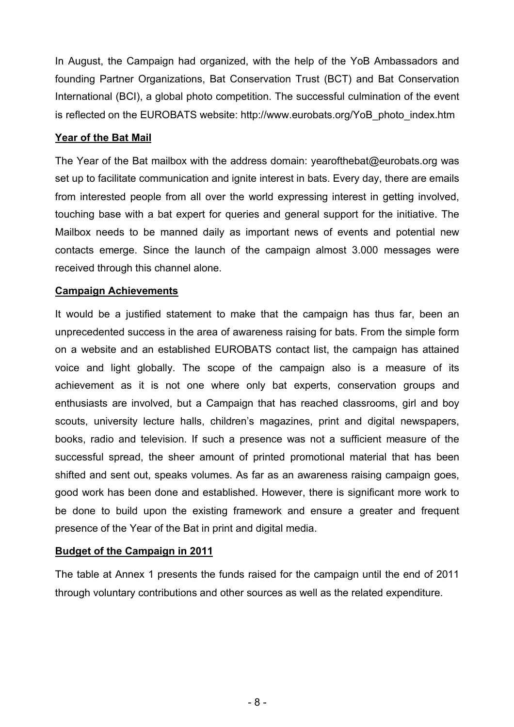In August, the Campaign had organized, with the help of the YoB Ambassadors and founding Partner Organizations, Bat Conservation Trust (BCT) and Bat Conservation International (BCI), a global photo competition. The successful culmination of the event is reflected on the EUROBATS website: http://www.eurobats.org/YoB\_photo\_index.htm

### **Year of the Bat Mail**

The Year of the Bat mailbox with the address domain: yearofthebat@eurobats.org was set up to facilitate communication and ignite interest in bats. Every day, there are emails from interested people from all over the world expressing interest in getting involved, touching base with a bat expert for queries and general support for the initiative. The Mailbox needs to be manned daily as important news of events and potential new contacts emerge. Since the launch of the campaign almost 3.000 messages were received through this channel alone.

# **Campaign Achievements**

It would be a justified statement to make that the campaign has thus far, been an unprecedented success in the area of awareness raising for bats. From the simple form on a website and an established EUROBATS contact list, the campaign has attained voice and light globally. The scope of the campaign also is a measure of its achievement as it is not one where only bat experts, conservation groups and enthusiasts are involved, but a Campaign that has reached classrooms, girl and boy scouts, university lecture halls, children's magazines, print and digital newspapers, books, radio and television. If such a presence was not a sufficient measure of the successful spread, the sheer amount of printed promotional material that has been shifted and sent out, speaks volumes. As far as an awareness raising campaign goes, good work has been done and established. However, there is significant more work to be done to build upon the existing framework and ensure a greater and frequent presence of the Year of the Bat in print and digital media.

# **Budget of the Campaign in 2011**

The table at Annex 1 presents the funds raised for the campaign until the end of 2011 through voluntary contributions and other sources as well as the related expenditure.